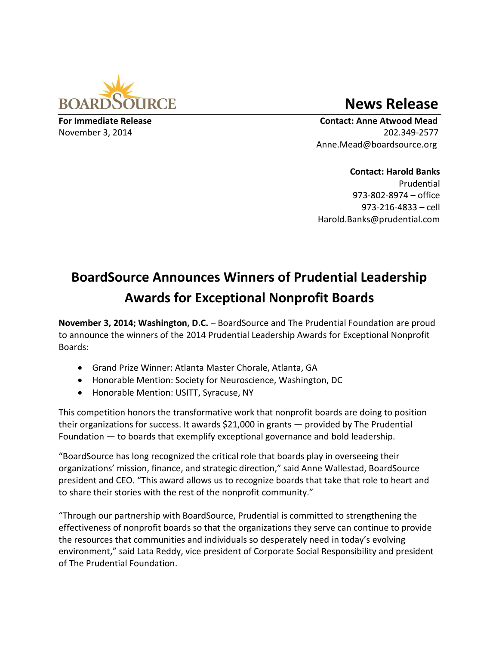

## **News Release**

**For Immediate Release Contact: Anne Atwood Mead**  November 3, 2014 202.349-2577 Anne.Mead@boardsource.org

> **Contact: Harold Banks** Prudential 973-802-8974 – office 973-216-4833 – cell Harold.Banks@prudential.com

## **BoardSource Announces Winners of Prudential Leadership Awards for Exceptional Nonprofit Boards**

**November 3, 2014; Washington, D.C.** – BoardSource and The Prudential Foundation are proud to announce the winners of the 2014 Prudential Leadership Awards for Exceptional Nonprofit Boards:

- Grand Prize Winner: Atlanta Master Chorale, Atlanta, GA
- Honorable Mention: Society for Neuroscience, Washington, DC
- Honorable Mention: USITT, Syracuse, NY

This competition honors the transformative work that nonprofit boards are doing to position their organizations for success. It awards \$21,000 in grants — provided by The Prudential Foundation — to boards that exemplify exceptional governance and bold leadership.

"BoardSource has long recognized the critical role that boards play in overseeing their organizations' mission, finance, and strategic direction," said Anne Wallestad, BoardSource president and CEO. "This award allows us to recognize boards that take that role to heart and to share their stories with the rest of the nonprofit community."

"Through our partnership with BoardSource, Prudential is committed to strengthening the effectiveness of nonprofit boards so that the organizations they serve can continue to provide the resources that communities and individuals so desperately need in today's evolving environment," said Lata Reddy, vice president of Corporate Social Responsibility and president of The Prudential Foundation.